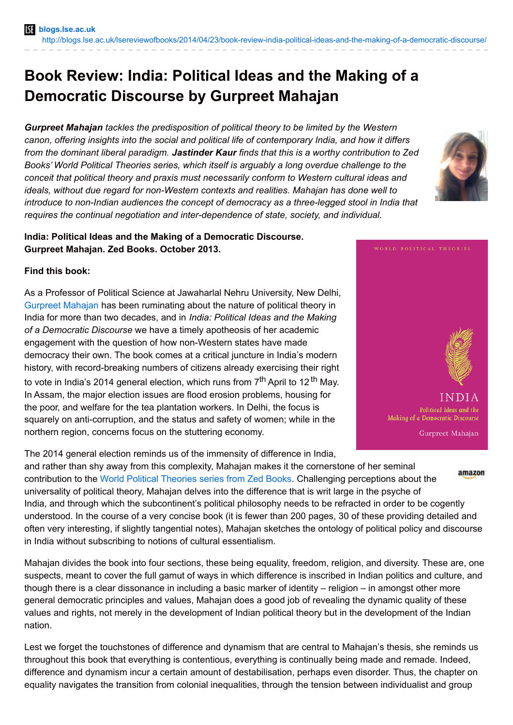## **Book Review: India: Political Ideas and the Making of a Democratic Discourse by Gurpreet Mahajan**

*Gurpreet Mahajan tackles the predisposition of political theory to be limited by the Western canon, offering insights into the social and political life of contemporary India, and how it differs from the dominant liberal paradigm. Jastinder Kaur finds that this is a worthy contribution to Zed Books' World Political Theories series, which itself is arguably a long overdue challenge to the conceit that political theory and praxis must necessarily conform to Western cultural ideas and ideals, without due regard for non-Western contexts and realities. Mahajan has done well to introduce to non-Indian audiences the concept of democracy as a three-legged stool in India that requires the continual negotiation and inter-dependence of state, society, and individual.*



## **India: Political Ideas and the Making of a Democratic Discourse. Gurpreet Mahajan. Zed Books. October 2013.**

## **Find this book:**

As a Professor of Political Science at Jawaharlal Nehru University, New Delhi, [Gurpreet](http://www.jnu.ac.in/FacultyStaff/ShowProfile.asp?SendUserName=gmahajan) Mahajan has been ruminating about the nature of political theory in India for more than two decades, and in *India: Political Ideas and the Making of a Democratic Discourse* we have a timely apotheosis of her academic engagement with the question of how non-Western states have made democracy their own. The book comes at a critical juncture in India's modern history, with record-breaking numbers of citizens already exercising their right to vote in India's 2014 general election, which runs from 7<sup>th</sup> April to 12<sup>th</sup> May. In Assam, the major election issues are flood erosion problems, housing for the poor, and welfare for the tea plantation workers. In Delhi, the focus is squarely on anti-corruption, and the status and safety of women; while in the northern region, concerns focus on the stuttering economy.

The 2014 general election reminds us of the immensity of difference in India,

and rather than shy away from this complexity, Mahajan makes it the cornerstone of her seminal amazon contribution to the World Political [Theories](http://www.zedbooks.co.uk/series/World Political Theories) series from Zed Books. Challenging perceptions about the universality of political theory, Mahajan delves into the difference that is writ large in the psyche of India, and through which the subcontinent's political philosophy needs to be refracted in order to be cogently understood. In the course of a very concise book (it is fewer than 200 pages, 30 of these providing detailed and often very interesting, if slightly tangential notes), Mahajan sketches the ontology of political policy and discourse in India without subscribing to notions of cultural essentialism.

Mahajan divides the book into four sections, these being equality, freedom, religion, and diversity. These are, one suspects, meant to cover the full gamut of ways in which difference is inscribed in Indian politics and culture, and though there is a clear dissonance in including a basic marker of identity – religion – in amongst other more general democratic principles and values, Mahajan does a good job of revealing the dynamic quality of these values and rights, not merely in the development of Indian political theory but in the development of the Indian nation.

Lest we forget the touchstones of difference and dynamism that are central to Mahajan's thesis, she reminds us throughout this book that everything is contentious, everything is continually being made and remade. Indeed, difference and dynamism incur a certain amount of destabilisation, perhaps even disorder. Thus, the chapter on equality navigates the transition from colonial inequalities, through the tension between individualist and group

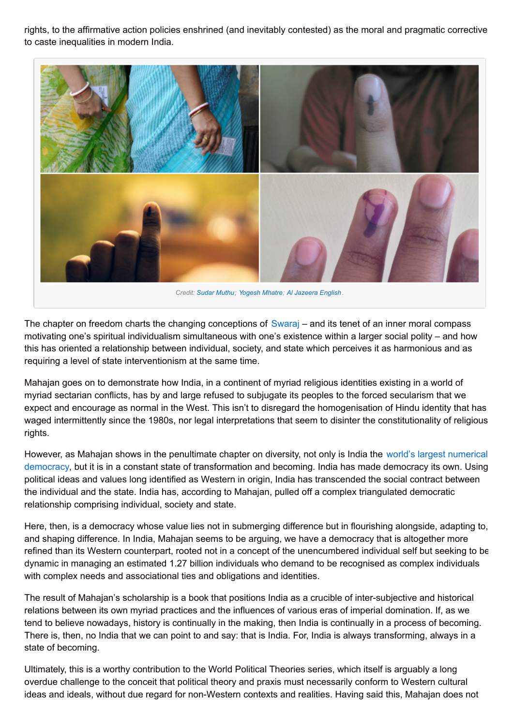rights, to the affirmative action policies enshrined (and inevitably contested) as the moral and pragmatic corrective to caste inequalities in modern India.



*Credit: Sudar [Muthu](https://www.flickr.com/photos/sudarmuthu/8708896641); [Yogesh](https://www.flickr.com/photos/mhatrey/6886404209) Mhatre; Al [Jazeera](https://www.flickr.com/photos/aljazeeraenglish/3528881444) English.*

The chapter on freedom charts the changing conceptions of [Swaraj](http://en.wikipedia.org/wiki/Swaraj) – and its tenet of an inner moral compass motivating one's spiritual individualism simultaneous with one's existence within a larger social polity – and how this has oriented a relationship between individual, society, and state which perceives it as harmonious and as requiring a level of state interventionism at the same time.

Mahajan goes on to demonstrate how India, in a continent of myriad religious identities existing in a world of myriad sectarian conflicts, has by and large refused to subjugate its peoples to the forced secularism that we expect and encourage as normal in the West. This isn't to disregard the homogenisation of Hindu identity that has waged intermittently since the 1980s, nor legal interpretations that seem to disinter the constitutionality of religious rights.

However, as Mahajan shows in the penultimate chapter on diversity, not only is India the world's largest numerical democracy, but it is in a constant state of [transformation](http://www.bbc.co.uk/news/world-south-asia-12557384) and becoming. India has made democracy its own. Using political ideas and values long identified as Western in origin, India has transcended the social contract between the individual and the state. India has, according to Mahajan, pulled off a complex triangulated democratic relationship comprising individual, society and state.

Here, then, is a democracy whose value lies not in submerging difference but in flourishing alongside, adapting to, and shaping difference. In India, Mahajan seems to be arguing, we have a democracy that is altogether more refined than its Western counterpart, rooted not in a concept of the unencumbered individual self but seeking to be dynamic in managing an estimated 1.27 billion individuals who demand to be recognised as complex individuals with complex needs and associational ties and obligations and identities.

The result of Mahajan's scholarship is a book that positions India as a crucible of inter-subjective and historical relations between its own myriad practices and the influences of various eras of imperial domination. If, as we tend to believe nowadays, history is continually in the making, then India is continually in a process of becoming. There is, then, no India that we can point to and say: that is India. For, India is always transforming, always in a state of becoming.

Ultimately, this is a worthy contribution to the World Political Theories series, which itself is arguably a long overdue challenge to the conceit that political theory and praxis must necessarily conform to Western cultural ideas and ideals, without due regard for non-Western contexts and realities. Having said this, Mahajan does not